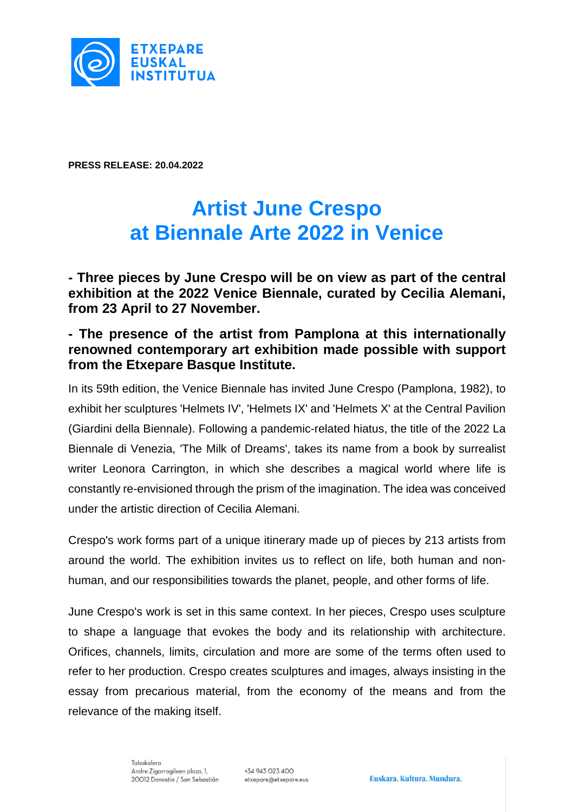

**PRESS RELEASE: 20.04.2022**

# **Artist June Crespo at Biennale Arte 2022 in Venice**

**- Three pieces by June Crespo will be on view as part of the central exhibition at the 2022 Venice Biennale, curated by Cecilia Alemani, from 23 April to 27 November.**

## **- The presence of the artist from Pamplona at this internationally renowned contemporary art exhibition made possible with support from the Etxepare Basque Institute.**

In its 59th edition, the Venice Biennale has invited June Crespo (Pamplona, 1982), to exhibit her sculptures 'Helmets IV', 'Helmets IX' and 'Helmets X' at the Central Pavilion (Giardini della Biennale). Following a pandemic-related hiatus, the title of the 2022 La Biennale di Venezia, 'The Milk of Dreams', takes its name from a book by surrealist writer Leonora Carrington, in which she describes a magical world where life is constantly re-envisioned through the prism of the imagination. The idea was conceived under the artistic direction of Cecilia Alemani.

Crespo's work forms part of a unique itinerary made up of pieces by 213 artists from around the world. The exhibition invites us to reflect on life, both human and nonhuman, and our responsibilities towards the planet, people, and other forms of life.

June Crespo's work is set in this same context. In her pieces, Crespo uses sculpture to shape a language that evokes the body and its relationship with architecture. Orifices, channels, limits, circulation and more are some of the terms often used to refer to her production. Crespo creates sculptures and images, always insisting in the essay from precarious material, from the economy of the means and from the relevance of the making itself.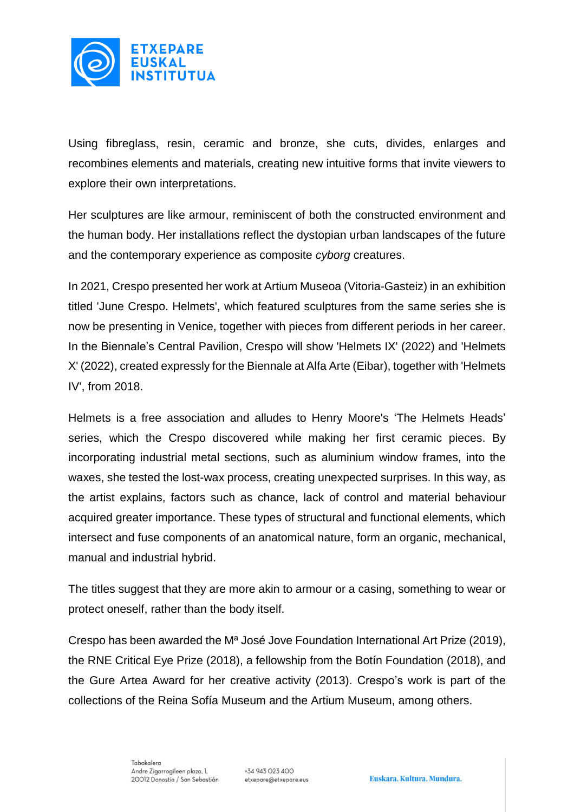

Using fibreglass, resin, ceramic and bronze, she cuts, divides, enlarges and recombines elements and materials, creating new intuitive forms that invite viewers to explore their own interpretations.

Her sculptures are like armour, reminiscent of both the constructed environment and the human body. Her installations reflect the dystopian urban landscapes of the future and the contemporary experience as composite *cyborg* creatures.

In 2021, Crespo presented her work at Artium Museoa (Vitoria-Gasteiz) in an exhibition titled 'June Crespo. Helmets', which featured sculptures from the same series she is now be presenting in Venice, together with pieces from different periods in her career. In the Biennale's Central Pavilion, Crespo will show 'Helmets IX' (2022) and 'Helmets X' (2022), created expressly for the Biennale at Alfa Arte (Eibar), together with 'Helmets IV', from 2018.

Helmets is a free association and alludes to Henry Moore's 'The Helmets Heads' series, which the Crespo discovered while making her first ceramic pieces. By incorporating industrial metal sections, such as aluminium window frames, into the waxes, she tested the lost-wax process, creating unexpected surprises. In this way, as the artist explains, factors such as chance, lack of control and material behaviour acquired greater importance. These types of structural and functional elements, which intersect and fuse components of an anatomical nature, form an organic, mechanical, manual and industrial hybrid.

The titles suggest that they are more akin to armour or a casing, something to wear or protect oneself, rather than the body itself.

Crespo has been awarded the Mª José Jove Foundation International Art Prize (2019), the RNE Critical Eye Prize (2018), a fellowship from the Botín Foundation (2018), and the Gure Artea Award for her creative activity (2013). Crespo's work is part of the collections of the Reina Sofía Museum and the Artium Museum, among others.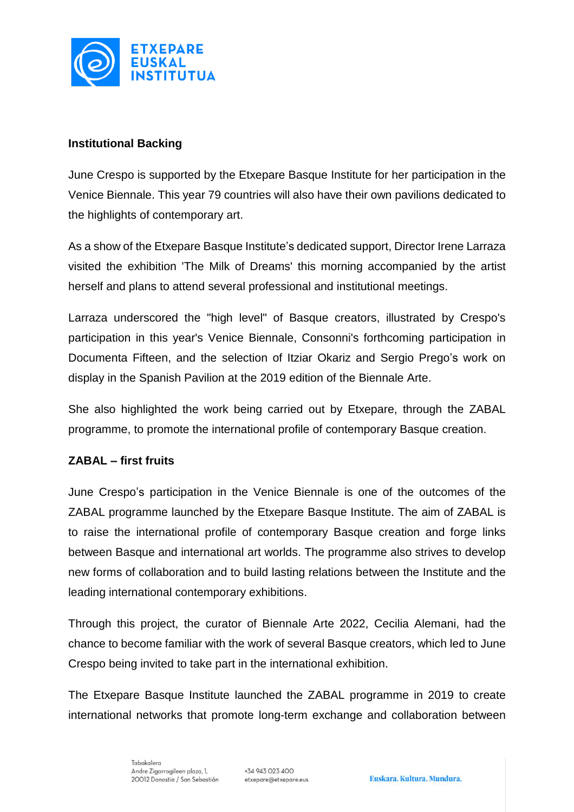

### **Institutional Backing**

June Crespo is supported by the Etxepare Basque Institute for her participation in the Venice Biennale. This year 79 countries will also have their own pavilions dedicated to the highlights of contemporary art.

As a show of the Etxepare Basque Institute's dedicated support, Director Irene Larraza visited the exhibition 'The Milk of Dreams' this morning accompanied by the artist herself and plans to attend several professional and institutional meetings.

Larraza underscored the "high level" of Basque creators, illustrated by Crespo's participation in this year's Venice Biennale, Consonni's forthcoming participation in Documenta Fifteen, and the selection of Itziar Okariz and Sergio Prego's work on display in the Spanish Pavilion at the 2019 edition of the Biennale Arte.

She also highlighted the work being carried out by Etxepare, through the ZABAL programme, to promote the international profile of contemporary Basque creation.

### **ZABAL – first fruits**

June Crespo's participation in the Venice Biennale is one of the outcomes of the ZABAL programme launched by the Etxepare Basque Institute. The aim of ZABAL is to raise the international profile of contemporary Basque creation and forge links between Basque and international art worlds. The programme also strives to develop new forms of collaboration and to build lasting relations between the Institute and the leading international contemporary exhibitions.

Through this project, the curator of Biennale Arte 2022, Cecilia Alemani, had the chance to become familiar with the work of several Basque creators, which led to June Crespo being invited to take part in the international exhibition.

The Etxepare Basque Institute launched the ZABAL programme in 2019 to create international networks that promote long-term exchange and collaboration between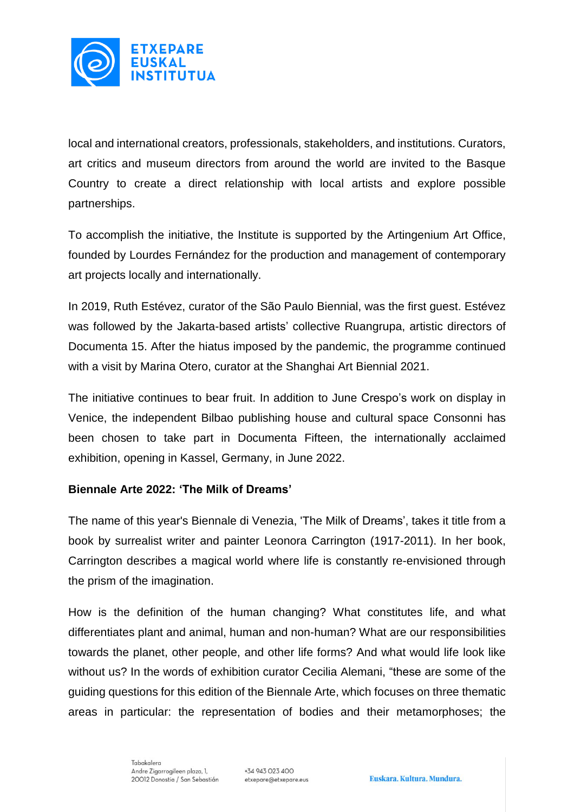

local and international creators, professionals, stakeholders, and institutions. Curators, art critics and museum directors from around the world are invited to the Basque Country to create a direct relationship with local artists and explore possible partnerships.

To accomplish the initiative, the Institute is supported by the Artingenium Art Office, founded by Lourdes Fernández for the production and management of contemporary art projects locally and internationally.

In 2019, Ruth Estévez, curator of the São Paulo Biennial, was the first guest. Estévez was followed by the Jakarta-based artists' collective Ruangrupa, artistic directors of Documenta 15. After the hiatus imposed by the pandemic, the programme continued with a visit by Marina Otero, curator at the Shanghai Art Biennial 2021.

The initiative continues to bear fruit. In addition to June Crespo's work on display in Venice, the independent Bilbao publishing house and cultural space Consonni has been chosen to take part in Documenta Fifteen, the internationally acclaimed exhibition, opening in Kassel, Germany, in June 2022.

### **Biennale Arte 2022: 'The Milk of Dreams'**

The name of this year's Biennale di Venezia, 'The Milk of Dreams', takes it title from a book by surrealist writer and painter Leonora Carrington (1917-2011). In her book, Carrington describes a magical world where life is constantly re-envisioned through the prism of the imagination.

How is the definition of the human changing? What constitutes life, and what differentiates plant and animal, human and non-human? What are our responsibilities towards the planet, other people, and other life forms? And what would life look like without us? In the words of exhibition curator Cecilia Alemani, "these are some of the guiding questions for this edition of the Biennale Arte, which focuses on three thematic areas in particular: the representation of bodies and their metamorphoses; the